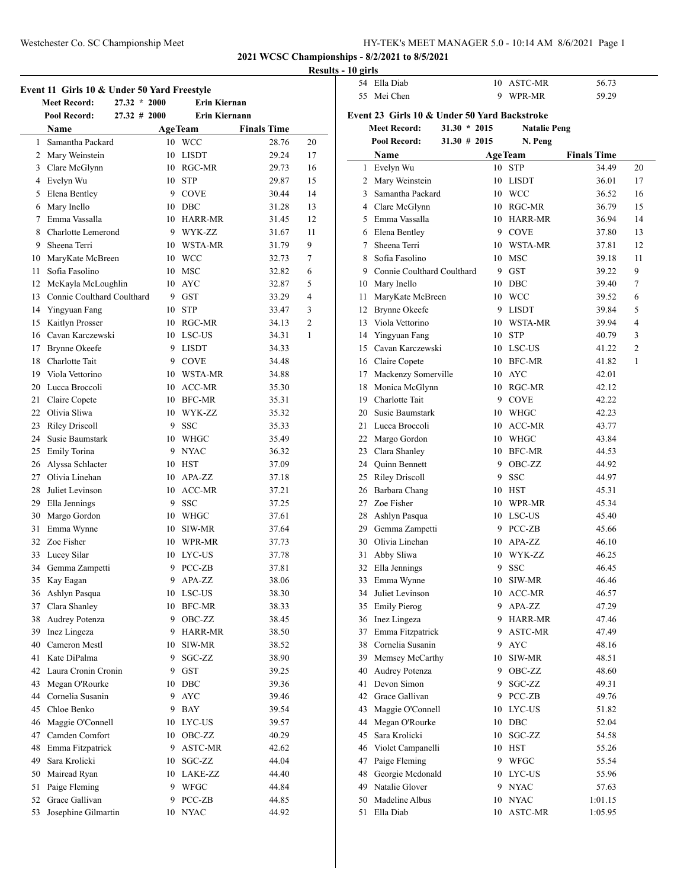### Westchester Co. SC Championship Meet HY-TEK's MEET MANAGER 5.0 - 10:14 AM 8/6/2021 Page 1

**2021 WCSC Championships - 8/2/2021 to 8/5/2021**

# **Results - 10 girls**

| Event 11 Girls 10 & Under 50 Yard Freestyle |                                        |    |                      |                    |                |  |  |
|---------------------------------------------|----------------------------------------|----|----------------------|--------------------|----------------|--|--|
|                                             | <b>Meet Record:</b><br>$27.32 * 2000$  |    | <b>Erin Kiernan</b>  |                    |                |  |  |
|                                             | <b>Pool Record:</b><br>$27.32 \# 2000$ |    | <b>Erin Kiernann</b> |                    |                |  |  |
|                                             | Name                                   |    | <b>AgeTeam</b>       | <b>Finals Time</b> |                |  |  |
|                                             | 1 Samantha Packard                     |    | 10 WCC               | 28.76              | 20             |  |  |
|                                             | 2 Mary Weinstein                       |    | 10 LISDT             | 29.24              | 17             |  |  |
|                                             | 3 Clare McGlynn                        |    | 10 RGC-MR            | 29.73              | 16             |  |  |
|                                             | 4 Evelyn Wu                            |    | 10 STP               | 29.87              | 15             |  |  |
|                                             | 5 Elena Bentley                        |    | 9 COVE               | 30.44              | 14             |  |  |
|                                             | 6 Mary Inello                          |    | 10 DBC               | 31.28              | 13             |  |  |
|                                             | 7 Emma Vassalla                        |    | 10 HARR-MR           | 31.45              | 12             |  |  |
|                                             | 8 Charlotte Lemerond                   |    | 9 WYK-ZZ             | 31.67              | 11             |  |  |
|                                             | 9 Sheena Terri                         |    | 10 WSTA-MR           | 31.79              | 9              |  |  |
|                                             | 10 MaryKate McBreen                    |    | 10 WCC               | 32.73              | 7              |  |  |
| 11 -                                        | Sofia Fasolino                         |    | 10 MSC               | 32.82              | 6              |  |  |
|                                             | 12 McKayla McLoughlin                  |    | 10 AYC               | 32.87              | 5              |  |  |
|                                             | 13 Connie Coulthard Coulthard          |    | 9 GST                | 33.29              | 4              |  |  |
|                                             | 14 Yingyuan Fang                       |    | 10 STP               | 33.47              | 3              |  |  |
|                                             | 15 Kaitlyn Prosser                     |    | 10 RGC-MR            | 34.13              | $\overline{c}$ |  |  |
|                                             | 16 Cavan Karczewski                    |    | 10 LSC-US            | 34.31              | 1              |  |  |
|                                             | 17 Brynne Okeefe                       |    | 9 LISDT              | 34.33              |                |  |  |
|                                             | 18 Charlotte Tait                      |    | 9 COVE               | 34.48              |                |  |  |
|                                             | 19 Viola Vettorino                     |    | 10 WSTA-MR           | 34.88              |                |  |  |
|                                             | 20 Lucca Broccoli                      |    | 10 ACC-MR            | 35.30              |                |  |  |
|                                             | 21 Claire Copete                       |    | 10 BFC-MR            | 35.31              |                |  |  |
|                                             | 22 Olivia Sliwa                        |    | 10 WYK-ZZ            | 35.32              |                |  |  |
|                                             | 23 Riley Driscoll                      |    | 9 SSC                | 35.33              |                |  |  |
|                                             | 24 Susie Baumstark                     |    | 10 WHGC              | 35.49              |                |  |  |
|                                             | 25 Emily Torina                        |    | 9 NYAC               | 36.32              |                |  |  |
|                                             | 26 Alyssa Schlacter                    |    | 10 HST               | 37.09              |                |  |  |
|                                             | 27 Olivia Linehan                      |    | 10 APA-ZZ            | 37.18              |                |  |  |
|                                             | 28 Juliet Levinson                     |    | 10 ACC-MR            | 37.21              |                |  |  |
|                                             | 29 Ella Jennings                       | 9  | <b>SSC</b>           | 37.25              |                |  |  |
|                                             | 30 Margo Gordon                        |    | 10 WHGC              | 37.61              |                |  |  |
|                                             | 31 Emma Wynne                          | 10 | SIW-MR               | 37.64              |                |  |  |
|                                             | 32 Zoe Fisher                          | 10 | WPR-MR               | 37.73              |                |  |  |
|                                             | 33 Lucey Silar                         | 10 | LYC-US               | 37.78              |                |  |  |
|                                             | 34 Gemma Zampetti                      |    | 9 PCC-ZB             | 37.81              |                |  |  |
| 35                                          | Kay Eagan                              | 9. | APA-ZZ               | 38.06              |                |  |  |
|                                             | 36 Ashlyn Pasqua                       |    | 10 LSC-US            | 38.30              |                |  |  |
|                                             | 37 Clara Shanley                       |    | 10 BFC-MR            | 38.33              |                |  |  |
|                                             | 38 Audrey Potenza                      |    | 9 OBC-ZZ             | 38.45              |                |  |  |
|                                             | 39 Inez Lingeza                        |    | 9 HARR-MR            | 38.50              |                |  |  |
|                                             | 40 Cameron Mestl                       | 10 | SIW-MR               | 38.52              |                |  |  |
|                                             | 41 Kate DiPalma                        | 9  | SGC-ZZ               | 38.90              |                |  |  |
|                                             | 42 Laura Cronin Cronin                 |    | 9 GST                | 39.25              |                |  |  |
|                                             | 43 Megan O'Rourke                      |    | 10 DBC               | 39.36              |                |  |  |
|                                             | 44 Cornelia Susanin                    | 9  | <b>AYC</b>           | 39.46              |                |  |  |
|                                             | 45 Chloe Benko                         |    | 9 BAY                | 39.54              |                |  |  |
|                                             | 46 Maggie O'Connell                    | 10 | LYC-US               | 39.57              |                |  |  |
|                                             | 47 Camden Comfort                      | 10 | OBC-ZZ               | 40.29              |                |  |  |
|                                             | 48 Emma Fitzpatrick                    | 9  | <b>ASTC-MR</b>       | 42.62              |                |  |  |
|                                             | 49 Sara Krolicki                       | 10 | SGC-ZZ               | 44.04              |                |  |  |
|                                             | 50 Mairead Ryan                        |    | 10 LAKE-ZZ           | 44.40              |                |  |  |
|                                             | 51 Paige Fleming                       |    | 9 WFGC               | 44.84              |                |  |  |
|                                             | 52 Grace Gallivan                      |    | 9 PCC-ZB             | 44.85              |                |  |  |
| 53                                          | Josephine Gilmartin                    | 10 | <b>NYAC</b>          | 44.92              |                |  |  |
|                                             |                                        |    |                      |                    |                |  |  |

| 51113        |  |            |       |  |  |  |  |
|--------------|--|------------|-------|--|--|--|--|
| 54 Ella Diab |  | 10 ASTC-MR | 56.73 |  |  |  |  |
| 55 Mei Chen  |  | 9 WPR-MR   | 59.29 |  |  |  |  |
|              |  |            |       |  |  |  |  |

#### **Event 23 Girls 10 & Under 50 Yard Backstroke**<br>Meet Becord: 31.30 \* 2015 Natalie Pe **Meet Record: 31.30 \* 2015 Natalie Peng**

|        | Meet Record:                    | $31.30 \div 2015$<br>Natalle Peng |                |                    |    |
|--------|---------------------------------|-----------------------------------|----------------|--------------------|----|
|        | $31.30 \# 2015$<br>Pool Record: |                                   | N. Peng        |                    |    |
|        | Name                            |                                   | <b>AgeTeam</b> | <b>Finals Time</b> |    |
| 1      | Evelyn Wu                       | 10                                | <b>STP</b>     | 34.49              | 20 |
| 2      | Mary Weinstein                  | 10                                | <b>LISDT</b>   | 36.01              | 17 |
| 3      | Samantha Packard                | 10                                | <b>WCC</b>     | 36.52              | 16 |
| 4      | Clare McGlynn                   | 10                                | RGC-MR         | 36.79              | 15 |
| 5      | Emma Vassalla                   | 10                                | HARR-MR        | 36.94              | 14 |
| 6      | Elena Bentley                   | 9                                 | <b>COVE</b>    | 37.80              | 13 |
| 7      | Sheena Terri                    | 10                                | WSTA-MR        | 37.81              | 12 |
| 8      | Sofia Fasolino                  | 10                                | MSC            | 39.18              | 11 |
| 9      | Connie Coulthard Coulthard      | 9                                 | <b>GST</b>     | 39.22              | 9  |
| 10     | Mary Inello                     | 10                                | DBC            | 39.40              | 7  |
| 11     | MaryKate McBreen                | 10                                | <b>WCC</b>     | 39.52              | 6  |
| 12     | Brynne Okeefe                   | 9                                 | LISDT          | 39.84              | 5  |
| 13     | Viola Vettorino                 | 10                                | WSTA-MR        | 39.94              | 4  |
| 14     | Yingyuan Fang                   | 10                                | <b>STP</b>     | 40.79              | 3  |
| 15     | Cavan Karczewski                | 10                                | LSC-US         | 41.22              | 2  |
| 16     | Claire Copete                   | 10                                | BFC-MR         | 41.82              | 1  |
| 17     | Mackenzy Somerville             | 10                                | AYC            | 42.01              |    |
| 18     | Monica McGlynn                  | 10                                | RGC-MR         | 42.12              |    |
| 19     | Charlotte Tait                  | 9                                 | <b>COVE</b>    | 42.22              |    |
| 20     | Susie Baumstark                 | 10                                | WHGC           | 42.23              |    |
| 21     | Lucca Broccoli                  | 10                                | ACC-MR         | 43.77              |    |
| 22     | Margo Gordon                    |                                   | 10 WHGC        | 43.84              |    |
| 23     | Clara Shanley                   | 10                                | BFC-MR         | 44.53              |    |
| 24     | Quinn Bennett                   | 9                                 | OBC-ZZ         | 44.92              |    |
| 25     | <b>Riley Driscoll</b>           | 9                                 | <b>SSC</b>     | 44.97              |    |
| 26     | Barbara Chang                   | 10                                | HST            | 45.31              |    |
| 27     | Zoe Fisher                      | 10                                | WPR-MR         | 45.34              |    |
| 28     | Ashlyn Pasqua                   | 10                                | LSC-US         | 45.40              |    |
| 29     | Gemma Zampetti                  | 9                                 | PCC-ZB         | 45.66              |    |
| 30     | Olivia Linehan                  | 10                                | APA-ZZ         | 46.10              |    |
| 31     | Abby Sliwa                      | 10                                | WYK-ZZ         | 46.25              |    |
| 32     | Ella Jennings                   | 9                                 | <b>SSC</b>     | 46.45              |    |
| 33     | Emma Wynne                      | 10                                | SIW-MR         | 46.46              |    |
| 34     | Juliet Levinson                 | 10                                | ACC-MR         | 46.57              |    |
| 35     | <b>Emily Pierog</b>             | 9                                 | APA-ZZ         | 47.29              |    |
| 36     | Inez Lingeza                    | 9                                 | <b>HARR-MR</b> | 47.46              |    |
|        | 37 Emma Fitzpatrick             |                                   | 9 ASTC-MR      | 47.49              |    |
| 38     | Cornelia Susanin                |                                   | 9 AYC          | 48.16              |    |
| 39     | Memsey McCarthy                 | 10                                | SIW-MR         | 48.51              |    |
| 40     | Audrey Potenza                  | 9                                 | OBC-ZZ         | 48.60              |    |
| 41     | Devon Simon                     | 9                                 | SGC-ZZ         | 49.31              |    |
| 42     | Grace Gallivan                  | 9                                 | PCC-ZB         | 49.76              |    |
| 43     | Maggie O'Connell                | 10                                | LYC-US         | 51.82              |    |
| 44     | Megan O'Rourke                  | 10                                | DBC            | 52.04              |    |
| 45     | Sara Krolicki                   | 10                                | SGC-ZZ         | 54.58              |    |
| $46\,$ | Violet Campanelli               | 10                                | <b>HST</b>     | 55.26              |    |
| 47     | Paige Fleming                   | 9                                 | ${\rm WFGC}$   | 55.54              |    |
| 48     | Georgie Mcdonald                | 10                                | LYC-US         | 55.96              |    |
| 49     | Natalie Glover                  | 9                                 | <b>NYAC</b>    | 57.63              |    |
| 50     | Madeline Albus                  | 10                                | <b>NYAC</b>    | 1:01.15            |    |
| 51     | Ella Diab                       | 10                                | ASTC-MR        | 1:05.95            |    |
|        |                                 |                                   |                |                    |    |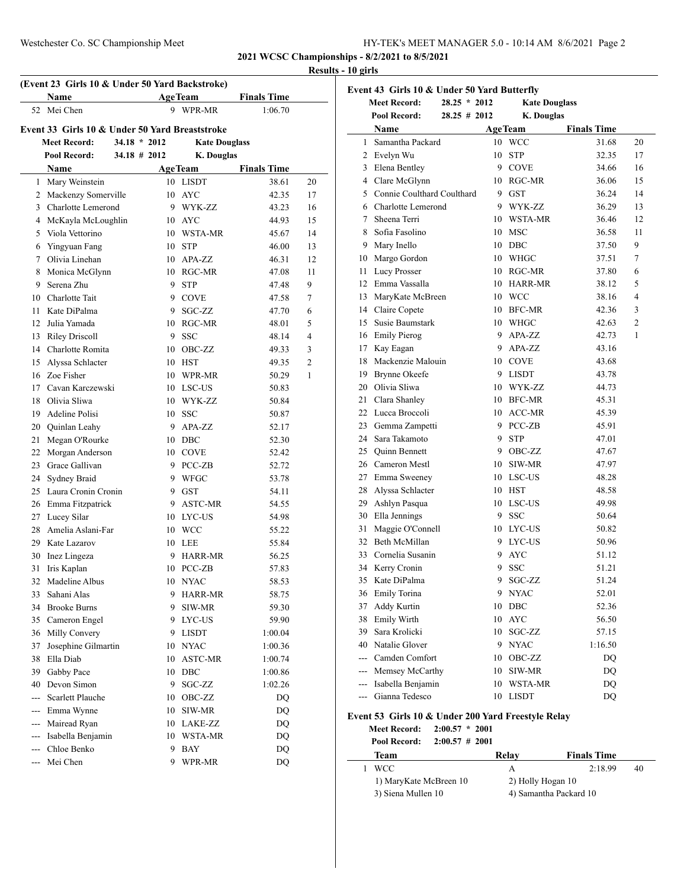| HY-TEK's MEET MANAGER 5.0 - 10:14 AM 8/6/2021 Page 2 |  |  |
|------------------------------------------------------|--|--|
|                                                      |  |  |

**2021 WCSC Championships - 8/2/2021 to 8/5/2021**

### **Results - 10 girls**

| (Event 23 Girls 10 & Under 50 Yard Backstroke) |                                                |                 |                |                      |                    |    |  |
|------------------------------------------------|------------------------------------------------|-----------------|----------------|----------------------|--------------------|----|--|
|                                                | Name                                           |                 |                | <b>AgeTeam</b>       | <b>Finals Time</b> |    |  |
|                                                | 52 Mei Chen                                    |                 | 9              | WPR-MR               | 1:06.70            |    |  |
|                                                | Event 33 Girls 10 & Under 50 Yard Breaststroke |                 |                |                      |                    |    |  |
|                                                | <b>Meet Record:</b>                            | $34.18 * 2012$  |                | <b>Kate Douglass</b> |                    |    |  |
|                                                | Pool Record:                                   | $34.18 \# 2012$ |                | K. Douglas           |                    |    |  |
|                                                | <b>Name</b>                                    |                 | <b>AgeTeam</b> |                      | <b>Finals Time</b> |    |  |
|                                                | 1 Mary Weinstein                               |                 |                | 10 LISDT             | 38.61              | 20 |  |
|                                                | 2 Mackenzy Somerville                          |                 |                | 10 AYC               | 42.35              | 17 |  |
|                                                | 3 Charlotte Lemerond                           |                 |                | 9 WYK-ZZ             | 43.23              | 16 |  |
|                                                | 4 McKayla McLoughlin                           |                 |                | 10 AYC               | 44.93              | 15 |  |
|                                                | 5 Viola Vettorino                              |                 |                | 10 WSTA-MR           | 45.67              | 14 |  |
|                                                | 6 Yingyuan Fang                                |                 |                | 10 STP               | 46.00              | 13 |  |
| 7                                              | Olivia Linehan                                 |                 |                | 10 APA-ZZ            | 46.31              | 12 |  |
|                                                | 8 Monica McGlynn                               |                 |                | 10 RGC-MR            | 47.08              | 11 |  |
|                                                | 9 Serena Zhu                                   |                 | 9.             | <b>STP</b>           | 47.48              | 9  |  |
|                                                | 10 Charlotte Tait                              |                 |                | 9 COVE               | 47.58              | 7  |  |
|                                                | 11 Kate DiPalma                                |                 |                | 9 SGC-ZZ             | 47.70              | 6  |  |
|                                                | 12 Julia Yamada                                |                 |                | 10 RGC-MR            | 48.01              | 5  |  |
|                                                | 13 Riley Driscoll                              |                 |                | 9 SSC                | 48.14              | 4  |  |
|                                                | 14 Charlotte Romita                            |                 |                | 10 OBC-ZZ            | 49.33              | 3  |  |
|                                                | 15 Alvssa Schlacter                            |                 |                | 10 HST               | 49.35              | 2  |  |
|                                                | 16 Zoe Fisher                                  |                 |                | 10 WPR-MR            | 50.29              | 1  |  |
|                                                | 17 Cavan Karczewski                            |                 |                | 10 LSC-US            | 50.83              |    |  |
|                                                | 18 Olivia Sliwa                                |                 |                | 10 WYK-ZZ            | 50.84              |    |  |
|                                                | 19 Adeline Polisi                              |                 |                | 10 SSC               | 50.87              |    |  |
|                                                |                                                |                 | 9              | APA-ZZ               | 52.17              |    |  |
|                                                | 20 Quinlan Leahy<br>21 Megan O'Rourke          |                 |                | 10 DBC               | 52.30              |    |  |
|                                                | 22 Morgan Anderson                             |                 |                | 10 COVE              | 52.42              |    |  |
|                                                | 23 Grace Gallivan                              |                 |                | 9 PCC-ZB             |                    |    |  |
|                                                |                                                |                 |                | 9 WFGC               | 52.72              |    |  |
|                                                | 24 Sydney Braid<br>25 Laura Cronin Cronin      |                 |                | 9 GST                | 53.78<br>54.11     |    |  |
|                                                |                                                |                 |                | 9 ASTC-MR            |                    |    |  |
|                                                | 26 Emma Fitzpatrick                            |                 |                | 10 LYC-US            | 54.55<br>54.98     |    |  |
| 28                                             | 27 Lucey Silar<br>Amelia Aslani-Far            |                 |                | 10 WCC               | 55.22              |    |  |
|                                                | 29 Kate Lazarov                                |                 |                | 10 LEE               |                    |    |  |
|                                                | 30 Inez Lingeza                                |                 | 9              | <b>HARR-MR</b>       | 55.84<br>56.25     |    |  |
| 31                                             | Iris Kaplan                                    |                 |                | 10 PCC-ZB            | 57.83              |    |  |
|                                                | Madeline Albus                                 |                 |                |                      |                    |    |  |
| 32                                             | Sahani Alas                                    |                 |                | 10 NYAC              | 58.53              |    |  |
| 33                                             | 34 Brooke Burns                                |                 |                | 9 HARR-MR            | 58.75              |    |  |
|                                                |                                                |                 | 9              | SIW-MR               | 59.30              |    |  |
|                                                | 35 Cameron Engel<br>36 Milly Convery           |                 |                | 9 LYC-US             | 59.90              |    |  |
|                                                |                                                |                 |                | 9 LISDT              | 1:00.04            |    |  |
| 37                                             | Josephine Gilmartin<br>Ella Diab               |                 |                | 10 NYAC              | 1:00.36            |    |  |
| 38                                             |                                                |                 |                | 10 ASTC-MR           | 1:00.74            |    |  |
| 39                                             | Gabby Pace<br>40 Devon Simon                   |                 |                | 10 DBC               | 1:00.86            |    |  |
|                                                |                                                |                 | 9.             | SGC-ZZ               | 1:02.26            |    |  |
|                                                | --- Scarlett Plauche                           |                 | 10             | OBC-ZZ               | DQ                 |    |  |
|                                                | --- Emma Wynne                                 |                 | 10             | SIW-MR               | DQ                 |    |  |
|                                                | --- Mairead Ryan                               |                 |                | 10 LAKE-ZZ           | DQ                 |    |  |
| $\overline{a}$                                 | --- Isabella Benjamin<br>Chloe Benko           |                 |                | 10 WSTA-MR           | <b>DQ</b>          |    |  |
|                                                | --- Mei Chen                                   |                 |                | 9 BAY                | DQ                 |    |  |
|                                                |                                                |                 |                | 9 WPR-MR             | DQ                 |    |  |

|    | $28.25 * 2012$<br><b>Meet Record:</b> |    | <b>Kate Douglass</b> |                    |
|----|---------------------------------------|----|----------------------|--------------------|
|    | Pool Record:<br>28.25 # 2012          |    | <b>K.</b> Douglas    |                    |
|    | Name                                  |    | <b>AgeTeam</b>       | <b>Finals Time</b> |
|    | 1 Samantha Packard                    | 10 | WCC                  | 31.68              |
|    | 2 Evelyn Wu                           | 10 | <b>STP</b>           | 32.35              |
|    | 3 Elena Bentley                       | 9  | <b>COVE</b>          | 34.66              |
|    | 4 Clare McGlynn                       | 10 | RGC-MR               | 36.06              |
|    | 5 Connie Coulthard Coulthard          |    | 9 GST                | 36.24              |
|    | 6 Charlotte Lemerond                  |    | 9 WYK-ZZ             | 36.29              |
|    | 7 Sheena Terri                        |    | 10 WSTA-MR           | 36.46              |
| 8  | Sofia Fasolino                        | 10 | <b>MSC</b>           | 36.58              |
|    | 9 Mary Inello                         |    | 10 DBC               | 37.50              |
|    | 10 Margo Gordon                       | 10 | <b>WHGC</b>          | 37.51              |
| 11 | <b>Lucy Prosser</b>                   |    | 10 RGC-MR            | 37.80              |
|    | 12 Emma Vassalla                      |    | 10 HARR-MR           | 38.12              |
|    | 13 MaryKate McBreen                   |    | 10 WCC               | 38.16              |
|    | 14 Claire Copete                      | 10 | BFC-MR               | 42.36              |
|    | 15 Susie Baumstark                    |    | 10 WHGC              | 42.63              |
|    | 16 Emily Pierog                       | 9  | APA-ZZ               | 42.73              |
|    | 17 Kay Eagan                          |    | 9 APA-ZZ             | 43.16              |
|    | 18 Mackenzie Malouin                  |    | 10 COVE              | 43.68              |
|    | 19 Brynne Okeefe                      |    | 9 LISDT              | 43.78              |
|    | 20 Olivia Sliwa                       |    | 10 WYK-ZZ            | 44.73              |
|    | 21 Clara Shanley                      |    | 10 BFC-MR            | 45.31              |
|    | 22 Lucca Broccoli                     |    | 10 ACC-MR            | 45.39              |
|    | 23 Gemma Zampetti                     | 9  | PCC-ZB               | 45.91              |
|    | 24 Sara Takamoto                      | 9  | <b>STP</b>           | 47.01              |
|    | 25 Quinn Bennett                      | 9  | OBC-ZZ               | 47.67              |
|    | 26 Cameron Mestl                      | 10 | SIW-MR               | 47.97              |
|    | 27 Emma Sweeney                       | 10 | LSC-US               | 48.28              |
|    | 28 Alyssa Schlacter                   | 10 | <b>HST</b>           | 48.58              |
|    | 29 Ashlyn Pasqua                      | 10 | LSC-US               | 49.98              |
|    | 30 Ella Jennings                      | 9  | <b>SSC</b>           | 50.64              |
| 31 | Maggie O'Connell                      |    | 10 LYC-US            | 50.82              |
|    | 32 Beth McMillan                      | 9  | LYC-US               | 50.96              |
|    | 33 Cornelia Susanin                   | 9  | AYC                  | 51.12              |
|    | 34 Kerry Cronin                       | 9  | <b>SSC</b>           | 51.21              |
|    | 35 Kate DiPalma                       |    | 9 SGC-ZZ             | 51.24              |
|    | 36 Emily Torina                       | 9  | NYAC                 | 52.01              |
| 37 | Addy Kurtin                           | 10 | DBC                  | 52.36              |
|    | 38 Emily Wirth                        | 10 | AYC                  | 56.50              |
|    | 39 Sara Krolicki                      | 10 | SGC-ZZ               | 57.15              |
|    | 40 Natalie Glover                     | 9  | <b>NYAC</b>          | 1:16.50            |
|    | --- Camden Comfort                    | 10 | OBC-ZZ               | DQ                 |
|    | --- Memsey McCarthy                   | 10 | SIW-MR               | <b>DQ</b>          |
|    | --- Isabella Benjamin                 | 10 | WSTA-MR              | DQ                 |
|    | --- Gianna Tedesco                    | 10 | <b>LISDT</b>         | DQ                 |

# **Event 53 Girls 10 & Under 200 Yard Freestyle Relay**

|                    | <b>Meet Record:</b>    | $2:00.57 * 2001$  |                        |                    |    |  |
|--------------------|------------------------|-------------------|------------------------|--------------------|----|--|
|                    | Pool Record:           | $2:00.57 \# 2001$ |                        |                    |    |  |
|                    | Team                   |                   | Relay                  | <b>Finals Time</b> |    |  |
|                    | <b>WCC</b>             |                   | А                      | 2:18.99            | 40 |  |
|                    | 1) MaryKate McBreen 10 |                   |                        | 2) Holly Hogan 10  |    |  |
| 3) Siena Mullen 10 |                        |                   | 4) Samantha Packard 10 |                    |    |  |